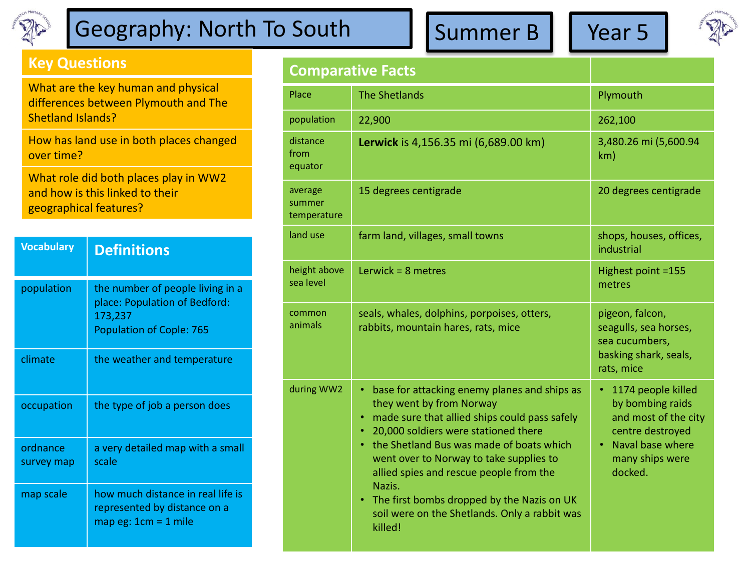

## Geography: North To South  $\left|\int$  Summer B  $\left|\int$  Year 5

## **Key Questions**

What are the key human and physical differences between Plymouth and The Shetland Islands?

How has land use in both places changed over time?

What role did both places play in WW2 and how is this linked to their geographical features?

| <b>Vocabulary</b>      | <b>Definitions</b>                                                                                              |
|------------------------|-----------------------------------------------------------------------------------------------------------------|
| population             | the number of people living in a<br>place: Population of Bedford:<br>173,237<br><b>Population of Cople: 765</b> |
| climate                | the weather and temperature                                                                                     |
| occupation             | the type of job a person does                                                                                   |
| ordnance<br>survey map | a very detailed map with a small<br>scale                                                                       |
| map scale              | how much distance in real life is<br>represented by distance on a<br>map eg: $1cm = 1$ mile                     |

**Comparative Facts**

|                                  | Comparative Facts                                                                                                                                                                                                                                                                                                                                                                                                            |                                                                                                                                      |
|----------------------------------|------------------------------------------------------------------------------------------------------------------------------------------------------------------------------------------------------------------------------------------------------------------------------------------------------------------------------------------------------------------------------------------------------------------------------|--------------------------------------------------------------------------------------------------------------------------------------|
| Place                            | <b>The Shetlands</b>                                                                                                                                                                                                                                                                                                                                                                                                         | Plymouth                                                                                                                             |
| population                       | 22,900                                                                                                                                                                                                                                                                                                                                                                                                                       | 262,100                                                                                                                              |
| distance<br>from<br>equator      | Lerwick is 4,156.35 mi (6,689.00 km)                                                                                                                                                                                                                                                                                                                                                                                         | 3,480.26 mi (5,600.94<br>km)                                                                                                         |
| average<br>summer<br>temperature | 15 degrees centigrade                                                                                                                                                                                                                                                                                                                                                                                                        | 20 degrees centigrade                                                                                                                |
| land use                         | farm land, villages, small towns                                                                                                                                                                                                                                                                                                                                                                                             | shops, houses, offices,<br>industrial                                                                                                |
| height above<br>sea level        | Lerwick = $8$ metres                                                                                                                                                                                                                                                                                                                                                                                                         | Highest point =155<br>metres                                                                                                         |
| common<br>animals                | seals, whales, dolphins, porpoises, otters,<br>rabbits, mountain hares, rats, mice                                                                                                                                                                                                                                                                                                                                           | pigeon, falcon,<br>seagulls, sea horses,<br>sea cucumbers,<br>basking shark, seals,<br>rats, mice                                    |
| during WW2                       | base for attacking enemy planes and ships as<br>they went by from Norway<br>made sure that allied ships could pass safely<br>٠<br>20,000 soldiers were stationed there<br>the Shetland Bus was made of boats which<br>went over to Norway to take supplies to<br>allied spies and rescue people from the<br>Nazis.<br>The first bombs dropped by the Nazis on UK<br>soil were on the Shetlands. Only a rabbit was<br>killed! | 1174 people killed<br>by bombing raids<br>and most of the city<br>centre destroyed<br>Naval base where<br>many ships were<br>docked. |